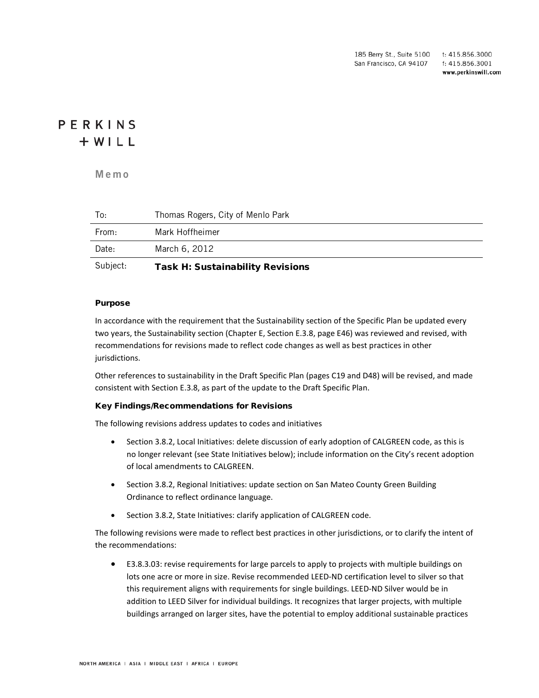185 Berry St., Suite 5100 t: 415.856.3000 San Francisco, CA 94107 f: 415.856.3001 www.perkinswill.com

## PERKINS  $+ WILL$

**Memo**

| Subject: | <b>Task H: Sustainability Revisions</b> |
|----------|-----------------------------------------|
| Date:    | March 6, 2012                           |
| From:    | Mark Hoffheimer                         |
| To:      | Thomas Rogers, City of Menlo Park       |

#### Purpose

In accordance with the requirement that the Sustainability section of the Specific Plan be updated every two years, the Sustainability section (Chapter E, Section E.3.8, page E46) was reviewed and revised, with recommendations for revisions made to reflect code changes as well as best practices in other jurisdictions.

Other references to sustainability in the Draft Specific Plan (pages C19 and D48) will be revised, and made consistent with Section E.3.8, as part of the update to the Draft Specific Plan.

#### Key Findings/Recommendations for Revisions

The following revisions address updates to codes and initiatives

- Section 3.8.2, Local Initiatives: delete discussion of early adoption of CALGREEN code, as this is no longer relevant (see State Initiatives below); include information on the City's recent adoption of local amendments to CALGREEN.
- Section 3.8.2, Regional Initiatives: update section on San Mateo County Green Building Ordinance to reflect ordinance language.
- Section 3.8.2, State Initiatives: clarify application of CALGREEN code.

The following revisions were made to reflect best practices in other jurisdictions, or to clarify the intent of the recommendations:

• E3.8.3.03: revise requirements for large parcels to apply to projects with multiple buildings on lots one acre or more in size. Revise recommended LEED-ND certification level to silver so that this requirement aligns with requirements for single buildings. LEED-ND Silver would be in addition to LEED Silver for individual buildings. It recognizes that larger projects, with multiple buildings arranged on larger sites, have the potential to employ additional sustainable practices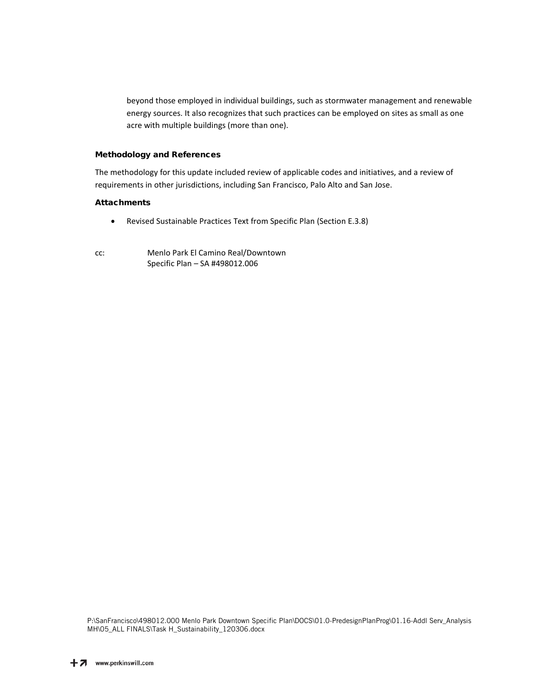beyond those employed in individual buildings, such as stormwater management and renewable energy sources. It also recognizes that such practices can be employed on sites as small as one acre with multiple buildings (more than one).

#### Methodology and References

The methodology for this update included review of applicable codes and initiatives, and a review of requirements in other jurisdictions, including San Francisco, Palo Alto and San Jose.

#### **Attachments**

- Revised Sustainable Practices Text from Specific Plan (Section E.3.8)
- cc: Menlo Park El Camino Real/Downtown Specific Plan – SA #498012.006

P:\SanFrancisco\498012.000 Menlo Park Downtown Specific Plan\DOCS\01.0-PredesignPlanProg\01.16-Addl Serv\_Analysis MH\05\_ALL FINALS\Task H\_Sustainability\_120306.docx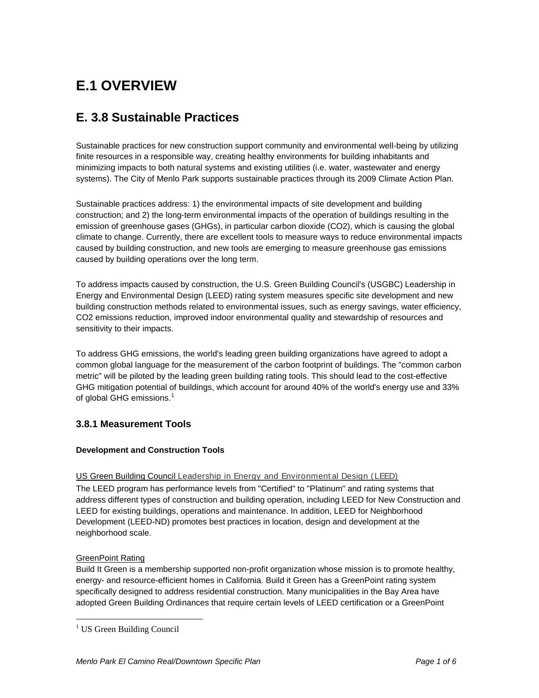# **E.1 OVERVIEW**

## **E. 3.8 Sustainable Practices**

Sustainable practices for new construction support community and environmental well-being by utilizing finite resources in a responsible way, creating healthy environments for building inhabitants and minimizing impacts to both natural systems and existing utilities (i.e. water, wastewater and energy systems). The City of Menlo Park supports sustainable practices through its 2009 Climate Action Plan.

Sustainable practices address: 1) the environmental impacts of site development and building construction; and 2) the long-term environmental impacts of the operation of buildings resulting in the emission of greenhouse gases (GHGs), in particular carbon dioxide (CO2), which is causing the global climate to change. Currently, there are excellent tools to measure ways to reduce environmental impacts caused by building construction, and new tools are emerging to measure greenhouse gas emissions caused by building operations over the long term.

To address impacts caused by construction, the U.S. Green Building Council's (USGBC) Leadership in Energy and Environmental Design (LEED) rating system measures specific site development and new building construction methods related to environmental issues, such as energy savings, water efficiency, CO2 emissions reduction, improved indoor environmental quality and stewardship of resources and sensitivity to their impacts.

To address GHG emissions, the world's leading green building organizations have agreed to adopt a common global language for the measurement of the carbon footprint of buildings. The "common carbon metric" will be piloted by the leading green building rating tools. This should lead to the cost-effective GHG mitigation potential of buildings, which account for around 40% of the world's energy use and 33% of global GHG emissions.<sup>[1](#page-2-0)</sup>

## **3.8.1 Measurement Tools**

## **Development and Construction Tools**

## US Green Building Council Leadership in Energy and Environment al Design (LEED)

The LEED program has performance levels from "Certified" to "Platinum" and rating systems that address different types of construction and building operation, including LEED for New Construction and LEED for existing buildings, operations and maintenance. In addition, LEED for Neighborhood Development (LEED-ND) promotes best practices in location, design and development at the neighborhood scale.

## GreenPoint Rating

Build It Green is a membership supported non-profit organization whose mission is to promote healthy, energy- and resource-efficient homes in California. Build it Green has a GreenPoint rating system specifically designed to address residential construction. Many municipalities in the Bay Area have adopted Green Building Ordinances that require certain levels of LEED certification or a GreenPoint

<span id="page-2-0"></span><sup>&</sup>lt;sup>1</sup> US Green Building Council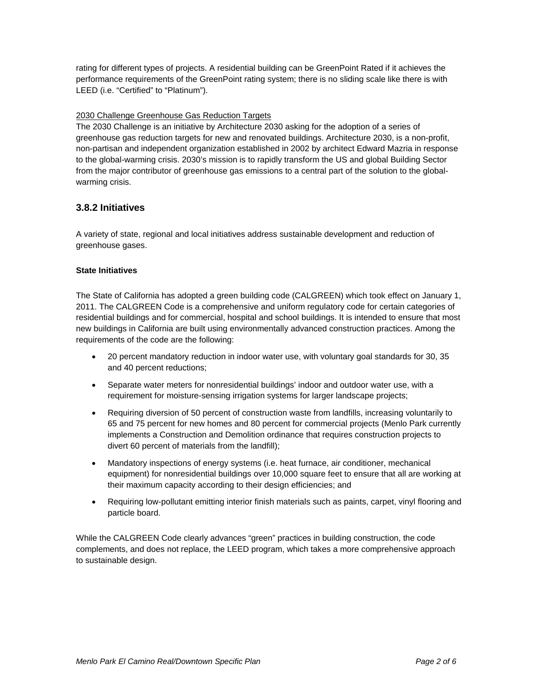rating for different types of projects. A residential building can be GreenPoint Rated if it achieves the performance requirements of the GreenPoint rating system; there is no sliding scale like there is with LEED (i.e. "Certified" to "Platinum").

#### 2030 Challenge Greenhouse Gas Reduction Targets

The 2030 Challenge is an initiative by [Architecture 2030](http://en.wikipedia.org/wiki/Architecture_2030) asking for the adoption of a series of [greenhouse gas](http://en.wikipedia.org/wiki/Greenhouse_gas) reduction targets for new and renovated buildings. Architecture 2030, is a non-profit, non-partisan and independent organization established in 2002 by architect Edward Mazria in response to the global-warming crisis. 2030's mission is to rapidly transform the US and global Building Sector from the major contributor of greenhouse gas emissions to a central part of the solution to the globalwarming crisis.

## **3.8.2 Initiatives**

A variety of state, regional and local initiatives address sustainable development and reduction of greenhouse gases.

#### **State Initiatives**

The State of California has adopted a green building code (CALGREEN) which took effect on January 1, 2011. The CALGREEN Code is a comprehensive and uniform regulatory code for certain categories of residential buildings and for commercial, hospital and school buildings. It is intended to ensure that most new buildings in California are built using environmentally advanced construction practices. Among the requirements of the code are the following:

- 20 percent mandatory reduction in indoor water use, with voluntary goal standards for 30, 35 and 40 percent reductions;
- Separate water meters for nonresidential buildings' indoor and outdoor water use, with a requirement for moisture-sensing irrigation systems for larger landscape projects;
- Requiring diversion of 50 percent of construction waste from landfills, increasing voluntarily to 65 and 75 percent for new homes and 80 percent for commercial projects (Menlo Park currently implements a Construction and Demolition ordinance that requires construction projects to divert 60 percent of materials from the landfill);
- Mandatory inspections of energy systems (i.e. heat furnace, air conditioner, mechanical equipment) for nonresidential buildings over 10,000 square feet to ensure that all are working at their maximum capacity according to their design efficiencies; and
- Requiring low-pollutant emitting interior finish materials such as paints, carpet, vinyl flooring and particle board.

While the CALGREEN Code clearly advances "green" practices in building construction, the code complements, and does not replace, the LEED program, which takes a more comprehensive approach to sustainable design.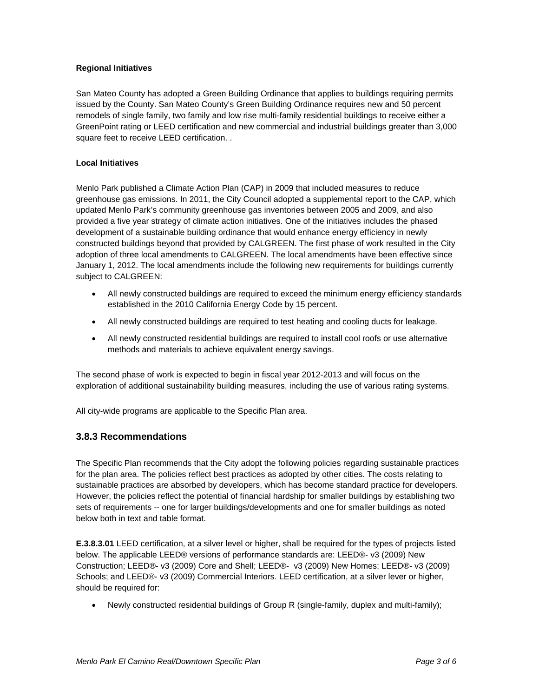#### **Regional Initiatives**

San Mateo County has adopted a Green Building Ordinance that applies to buildings requiring permits issued by the County. San Mateo County's Green Building Ordinance requires new and 50 percent remodels of single family, two family and low rise multi-family residential buildings to receive either a GreenPoint rating or LEED certification and new commercial and industrial buildings greater than 3,000 square feet to receive LEED certification. .

#### **Local Initiatives**

Menlo Park published a Climate Action Plan (CAP) in 2009 that included measures to reduce greenhouse gas emissions. In 2011, the City Council adopted a supplemental report to the CAP, which updated Menlo Park's community greenhouse gas inventories between 2005 and 2009, and also provided a five year strategy of climate action initiatives. One of the initiatives includes the phased development of a sustainable building ordinance that would enhance energy efficiency in newly constructed buildings beyond that provided by CALGREEN. The first phase of work resulted in the City adoption of three local amendments to CALGREEN. The local amendments have been effective since January 1, 2012. The local amendments include the following new requirements for buildings currently subject to CALGREEN:

- All newly constructed buildings are required to exceed the minimum energy efficiency standards established in the 2010 California Energy Code by 15 percent.
- All newly constructed buildings are required to test heating and cooling ducts for leakage.
- All newly constructed residential buildings are required to install cool roofs or use alternative methods and materials to achieve equivalent energy savings.

The second phase of work is expected to begin in fiscal year 2012-2013 and will focus on the exploration of additional sustainability building measures, including the use of various rating systems.

All city-wide programs are applicable to the Specific Plan area.

## **3.8.3 Recommendations**

The Specific Plan recommends that the City adopt the following policies regarding sustainable practices for the plan area. The policies reflect best practices as adopted by other cities. The costs relating to sustainable practices are absorbed by developers, which has become standard practice for developers. However, the policies reflect the potential of financial hardship for smaller buildings by establishing two sets of requirements -- one for larger buildings/developments and one for smaller buildings as noted below both in text and table format.

**E.3.8.3.01** LEED certification, at a silver level or higher, shall be required for the types of projects listed below. The applicable LEED® versions of performance standards are: LEED®- v3 (2009) New Construction; LEED®- v3 (2009) Core and Shell; LEED®- v3 (2009) New Homes; LEED®- v3 (2009) Schools; and LEED®- v3 (2009) Commercial Interiors. LEED certification, at a silver lever or higher, should be required for:

• Newly constructed residential buildings of Group R (single-family, duplex and multi-family);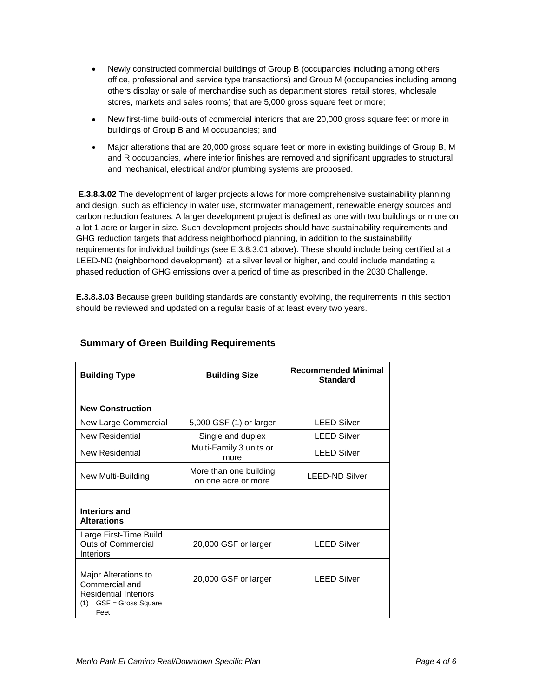- Newly constructed commercial buildings of Group B (occupancies including among others office, professional and service type transactions) and Group M (occupancies including among others display or sale of merchandise such as department stores, retail stores, wholesale stores, markets and sales rooms) that are 5,000 gross square feet or more;
- New first-time build-outs of commercial interiors that are 20,000 gross square feet or more in buildings of Group B and M occupancies; and
- Major alterations that are 20,000 gross square feet or more in existing buildings of Group B, M and R occupancies, where interior finishes are removed and significant upgrades to structural and mechanical, electrical and/or plumbing systems are proposed.

**E.3.8.3.02** The development of larger projects allows for more comprehensive sustainability planning and design, such as efficiency in water use, stormwater management, renewable energy sources and carbon reduction features. A larger development project is defined as one with two buildings or more on a lot 1 acre or larger in size. Such development projects should have sustainability requirements and GHG reduction targets that address neighborhood planning, in addition to the sustainability requirements for individual buildings (see E.3.8.3.01 above). These should include being certified at a LEED-ND (neighborhood development), at a silver level or higher, and could include mandating a phased reduction of GHG emissions over a period of time as prescribed in the 2030 Challenge.

**E.3.8.3.03** Because green building standards are constantly evolving, the requirements in this section should be reviewed and updated on a regular basis of at least every two years.

| <b>Building Type</b>                                                    | <b>Building Size</b>                          | <b>Recommended Minimal</b><br><b>Standard</b> |
|-------------------------------------------------------------------------|-----------------------------------------------|-----------------------------------------------|
| <b>New Construction</b>                                                 |                                               |                                               |
| New Large Commercial                                                    | 5,000 GSF (1) or larger                       | <b>LEED Silver</b>                            |
| New Residential                                                         | Single and duplex                             | <b>LEED Silver</b>                            |
| New Residential                                                         | Multi-Family 3 units or<br>more               | <b>LEED Silver</b>                            |
| New Multi-Building                                                      | More than one building<br>on one acre or more | <b>LEED-ND Silver</b>                         |
| Interiors and<br><b>Alterations</b>                                     |                                               |                                               |
| Large First-Time Build<br><b>Outs of Commercial</b><br><b>Interiors</b> | 20,000 GSF or larger                          | <b>LEED Silver</b>                            |
| Major Alterations to<br>Commercial and<br><b>Residential Interiors</b>  | 20,000 GSF or larger                          | <b>LEED Silver</b>                            |
| $GSF = Gross Square$<br>(1)<br>Feet                                     |                                               |                                               |

## **Summary of Green Building Requirements**

j.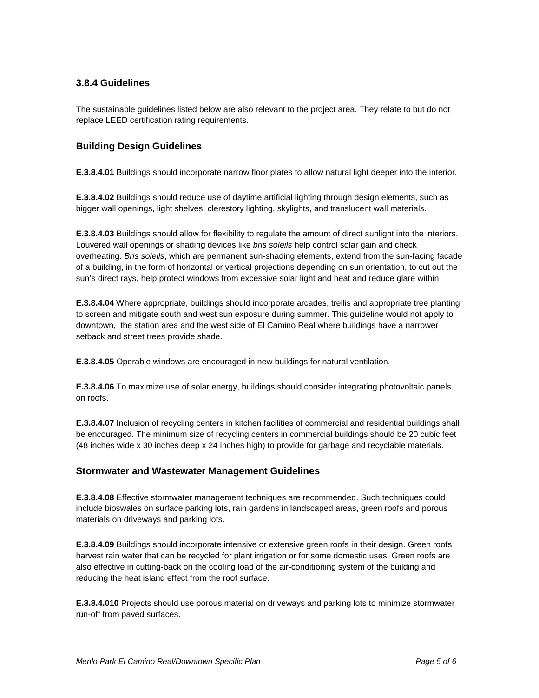## **3.8.4 Guidelines**

The sustainable guidelines listed below are also relevant to the project area. They relate to but do not replace LEED certification rating requirements.

## **Building Design Guidelines**

**E.3.8.4.01** Buildings should incorporate narrow floor plates to allow natural light deeper into the interior.

**E.3.8.4.02** Buildings should reduce use of daytime artificial lighting through design elements, such as bigger wall openings, light shelves, clerestory lighting, skylights, and translucent wall materials.

**E.3.8.4.03** Buildings should allow for flexibility to regulate the amount of direct sunlight into the interiors. Louvered wall openings or shading devices like *bris soleils* help control solar gain and check overheating. *Bris soleils*, which are permanent [sun-shading](http://en.wikipedia.org/wiki/Sun_shade) elements, extend from the sun-facing facade of a building, in the form of horizontal or vertical projections depending on sun orientation, to cut out the sun's direct rays, help protect windows from excessive solar light and heat and reduce glare within.

**E.3.8.4.04** Where appropriate, buildings should incorporate arcades, trellis and appropriate tree planting to screen and mitigate south and west sun exposure during summer. This guideline would not apply to downtown, the station area and the west side of El Camino Real where buildings have a narrower setback and street trees provide shade.

**E.3.8.4.05** Operable windows are encouraged in new buildings for natural ventilation.

**E.3.8.4.06** To maximize use of solar energy, buildings should consider integrating photovoltaic panels on roofs.

**E.3.8.4.07** Inclusion of recycling centers in kitchen facilities of commercial and residential buildings shall be encouraged. The minimum size of recycling centers in commercial buildings should be 20 cubic feet (48 inches wide x 30 inches deep x 24 inches high) to provide for garbage and recyclable materials.

## **Stormwater and Wastewater Management Guidelines**

**E.3.8.4.08** Effective stormwater management techniques are recommended. Such techniques could include bioswales on surface parking lots, rain gardens in landscaped areas, green roofs and porous materials on driveways and parking lots.

**E.3.8.4.09** Buildings should incorporate intensive or extensive green roofs in their design. Green roofs harvest rain water that can be recycled for plant irrigation or for some domestic uses. Green roofs are also effective in cutting-back on the cooling load of the air-conditioning system of the building and reducing the heat island effect from the roof surface.

**E.3.8.4.010** Projects should use porous material on driveways and parking lots to minimize stormwater run-off from paved surfaces.